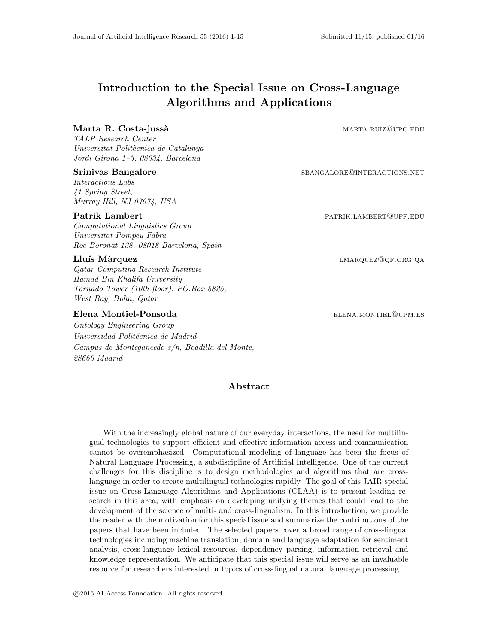# Introduction to the Special Issue on Cross-Language Algorithms and Applications

# Marta R. Costa-jussà de la component de la marta.ruiz@upc.edu

TALP Research Center Universitat Politècnica de Catalunya Jordi Girona 1–3, 08034, Barcelona

## Srinivas Bangalore SBANGALORE@INTERACTIONS.NET

Interactions Labs 41 Spring Street, Murray Hill, NJ 07974, USA

### Patrik Lambert **Patrice Patrice Patrice Patrice Patrice Patrice Patrice Patrice Patrice Patrice Patrice Patrice Patrice Patrice Patrice Patrice Patrice Patrice Patrice Patrice Patrice Patrice Patrice Patrice Patrice Patric**

Computational Linguistics Group Universitat Pompeu Fabra Roc Boronat 138, 08018 Barcelona, Spain

Qatar Computing Research Institute Hamad Bin Khalifa University Tornado Tower (10th floor), PO.Box 5825, West Bay, Doha, Qatar

# Elena Montiel-Ponsoda elements and the elements of the elements of the elements of the elements of the elements of the elements of the elements of the elements of the elements of the elements of the elements of the element

Ontology Engineering Group Universidad Politécnica de Madrid Campus de Montegancedo s/n, Boadilla del Monte, 28660 Madrid

Lluís Màrquez lmarquez lmarquez lmarquez lmarquez lmarquez lmarquez lmarquez lmarquez lmarquez lmarquez lmarquez lmarquez lmarquez lmarquez lmarquez lmarquez lmarquez lmarquez lmarquez lmarquez lmarquez lmarquez lmarquez l

# Abstract

With the increasingly global nature of our everyday interactions, the need for multilingual technologies to support efficient and effective information access and communication cannot be overemphasized. Computational modeling of language has been the focus of Natural Language Processing, a subdiscipline of Artificial Intelligence. One of the current challenges for this discipline is to design methodologies and algorithms that are crosslanguage in order to create multilingual technologies rapidly. The goal of this JAIR special issue on Cross-Language Algorithms and Applications (CLAA) is to present leading research in this area, with emphasis on developing unifying themes that could lead to the development of the science of multi- and cross-lingualism. In this introduction, we provide the reader with the motivation for this special issue and summarize the contributions of the papers that have been included. The selected papers cover a broad range of cross-lingual technologies including machine translation, domain and language adaptation for sentiment analysis, cross-language lexical resources, dependency parsing, information retrieval and knowledge representation. We anticipate that this special issue will serve as an invaluable resource for researchers interested in topics of cross-lingual natural language processing.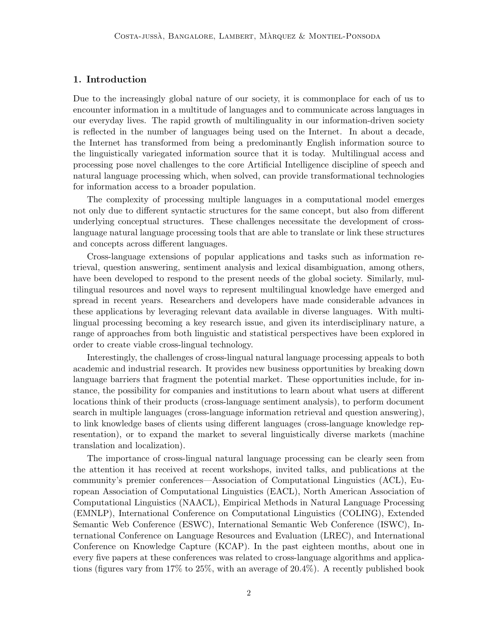# 1. Introduction

Due to the increasingly global nature of our society, it is commonplace for each of us to encounter information in a multitude of languages and to communicate across languages in our everyday lives. The rapid growth of multilinguality in our information-driven society is reflected in the number of languages being used on the Internet. In about a decade, the Internet has transformed from being a predominantly English information source to the linguistically variegated information source that it is today. Multilingual access and processing pose novel challenges to the core Artificial Intelligence discipline of speech and natural language processing which, when solved, can provide transformational technologies for information access to a broader population.

The complexity of processing multiple languages in a computational model emerges not only due to different syntactic structures for the same concept, but also from different underlying conceptual structures. These challenges necessitate the development of crosslanguage natural language processing tools that are able to translate or link these structures and concepts across different languages.

Cross-language extensions of popular applications and tasks such as information retrieval, question answering, sentiment analysis and lexical disambiguation, among others, have been developed to respond to the present needs of the global society. Similarly, multilingual resources and novel ways to represent multilingual knowledge have emerged and spread in recent years. Researchers and developers have made considerable advances in these applications by leveraging relevant data available in diverse languages. With multilingual processing becoming a key research issue, and given its interdisciplinary nature, a range of approaches from both linguistic and statistical perspectives have been explored in order to create viable cross-lingual technology.

Interestingly, the challenges of cross-lingual natural language processing appeals to both academic and industrial research. It provides new business opportunities by breaking down language barriers that fragment the potential market. These opportunities include, for instance, the possibility for companies and institutions to learn about what users at different locations think of their products (cross-language sentiment analysis), to perform document search in multiple languages (cross-language information retrieval and question answering), to link knowledge bases of clients using different languages (cross-language knowledge representation), or to expand the market to several linguistically diverse markets (machine translation and localization).

The importance of cross-lingual natural language processing can be clearly seen from the attention it has received at recent workshops, invited talks, and publications at the community's premier conferences—Association of Computational Linguistics (ACL), European Association of Computational Linguistics (EACL), North American Association of Computational Linguistics (NAACL), Empirical Methods in Natural Language Processing (EMNLP), International Conference on Computational Linguistics (COLING), Extended Semantic Web Conference (ESWC), International Semantic Web Conference (ISWC), International Conference on Language Resources and Evaluation (LREC), and International Conference on Knowledge Capture (KCAP). In the past eighteen months, about one in every five papers at these conferences was related to cross-language algorithms and applications (figures vary from 17% to 25%, with an average of 20.4%). A recently published book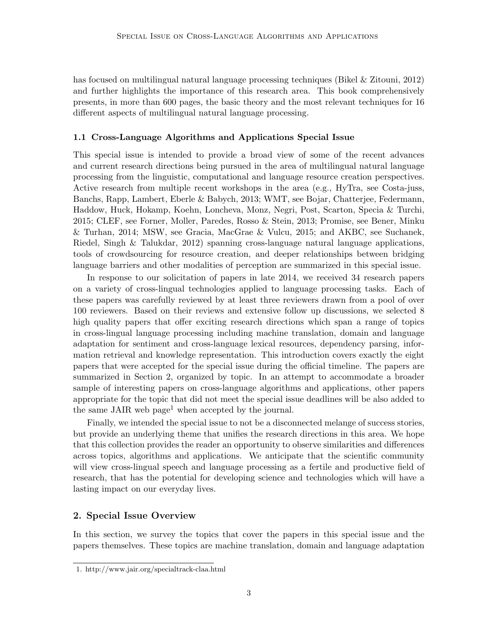has focused on multilingual natural language processing techniques (Bikel & Zitouni, 2012) and further highlights the importance of this research area. This book comprehensively presents, in more than 600 pages, the basic theory and the most relevant techniques for 16 different aspects of multilingual natural language processing.

### 1.1 Cross-Language Algorithms and Applications Special Issue

This special issue is intended to provide a broad view of some of the recent advances and current research directions being pursued in the area of multilingual natural language processing from the linguistic, computational and language resource creation perspectives. Active research from multiple recent workshops in the area (e.g., HyTra, see Costa-juss, Banchs, Rapp, Lambert, Eberle & Babych, 2013; WMT, see Bojar, Chatterjee, Federmann, Haddow, Huck, Hokamp, Koehn, Loncheva, Monz, Negri, Post, Scarton, Specia & Turchi, 2015; CLEF, see Forner, Moller, Paredes, Rosso & Stein, 2013; Promise, see Bener, Minku & Turhan, 2014; MSW, see Gracia, MacGrae & Vulcu, 2015; and AKBC, see Suchanek, Riedel, Singh & Talukdar, 2012) spanning cross-language natural language applications, tools of crowdsourcing for resource creation, and deeper relationships between bridging language barriers and other modalities of perception are summarized in this special issue.

In response to our solicitation of papers in late 2014, we received 34 research papers on a variety of cross-lingual technologies applied to language processing tasks. Each of these papers was carefully reviewed by at least three reviewers drawn from a pool of over 100 reviewers. Based on their reviews and extensive follow up discussions, we selected 8 high quality papers that offer exciting research directions which span a range of topics in cross-lingual language processing including machine translation, domain and language adaptation for sentiment and cross-language lexical resources, dependency parsing, information retrieval and knowledge representation. This introduction covers exactly the eight papers that were accepted for the special issue during the official timeline. The papers are summarized in Section 2, organized by topic. In an attempt to accommodate a broader sample of interesting papers on cross-language algorithms and applications, other papers appropriate for the topic that did not meet the special issue deadlines will be also added to the same JAIR web page<sup>1</sup> when accepted by the journal.

Finally, we intended the special issue to not be a disconnected melange of success stories, but provide an underlying theme that unifies the research directions in this area. We hope that this collection provides the reader an opportunity to observe similarities and differences across topics, algorithms and applications. We anticipate that the scientific community will view cross-lingual speech and language processing as a fertile and productive field of research, that has the potential for developing science and technologies which will have a lasting impact on our everyday lives.

# 2. Special Issue Overview

In this section, we survey the topics that cover the papers in this special issue and the papers themselves. These topics are machine translation, domain and language adaptation

<sup>1.</sup> http://www.jair.org/specialtrack-claa.html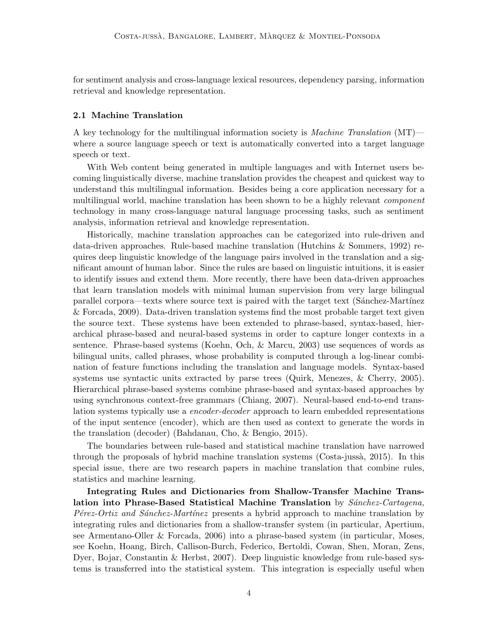for sentiment analysis and cross-language lexical resources, dependency parsing, information retrieval and knowledge representation.

#### 2.1 Machine Translation

A key technology for the multilingual information society is *Machine Translation*  $(MT)$  where a source language speech or text is automatically converted into a target language speech or text.

With Web content being generated in multiple languages and with Internet users becoming linguistically diverse, machine translation provides the cheapest and quickest way to understand this multilingual information. Besides being a core application necessary for a multilingual world, machine translation has been shown to be a highly relevant *component* technology in many cross-language natural language processing tasks, such as sentiment analysis, information retrieval and knowledge representation.

Historically, machine translation approaches can be categorized into rule-driven and data-driven approaches. Rule-based machine translation (Hutchins & Sommers, 1992) requires deep linguistic knowledge of the language pairs involved in the translation and a significant amount of human labor. Since the rules are based on linguistic intuitions, it is easier to identify issues and extend them. More recently, there have been data-driven approaches that learn translation models with minimal human supervision from very large bilingual parallel corpora—texts where source text is paired with the target text (Sanchez-Martinez) & Forcada, 2009). Data-driven translation systems find the most probable target text given the source text. These systems have been extended to phrase-based, syntax-based, hierarchical phrase-based and neural-based systems in order to capture longer contexts in a sentence. Phrase-based systems (Koehn, Och, & Marcu, 2003) use sequences of words as bilingual units, called phrases, whose probability is computed through a log-linear combination of feature functions including the translation and language models. Syntax-based systems use syntactic units extracted by parse trees (Quirk, Menezes, & Cherry, 2005). Hierarchical phrase-based systems combine phrase-based and syntax-based approaches by using synchronous context-free grammars (Chiang, 2007). Neural-based end-to-end translation systems typically use a *encoder-decoder* approach to learn embedded representations of the input sentence (encoder), which are then used as context to generate the words in the translation (decoder) (Bahdanau, Cho, & Bengio, 2015).

The boundaries between rule-based and statistical machine translation have narrowed through the proposals of hybrid machine translation systems (Costa-jussà, 2015). In this special issue, there are two research papers in machine translation that combine rules, statistics and machine learning.

Integrating Rules and Dictionaries from Shallow-Transfer Machine Translation into Phrase-Based Statistical Machine Translation by  $S\acute{a}nchez-Cartagena$ ,  $P\acute{e}$ rez-Ortiz and Sánchez-Martínez presents a hybrid approach to machine translation by integrating rules and dictionaries from a shallow-transfer system (in particular, Apertium, see Armentano-Oller & Forcada, 2006) into a phrase-based system (in particular, Moses, see Koehn, Hoang, Birch, Callison-Burch, Federico, Bertoldi, Cowan, Shen, Moran, Zens, Dyer, Bojar, Constantin & Herbst, 2007). Deep linguistic knowledge from rule-based systems is transferred into the statistical system. This integration is especially useful when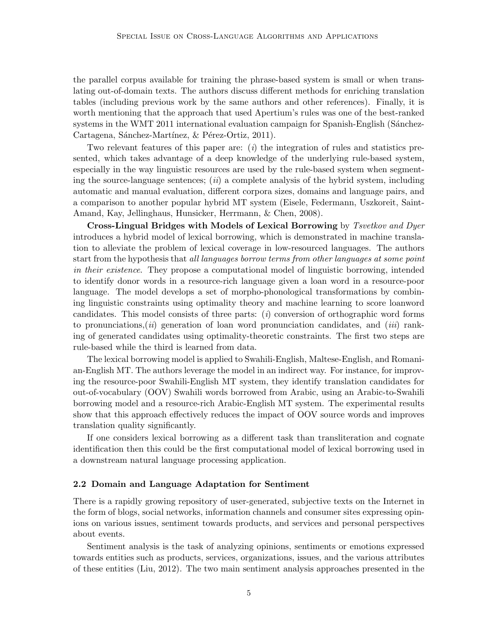the parallel corpus available for training the phrase-based system is small or when translating out-of-domain texts. The authors discuss different methods for enriching translation tables (including previous work by the same authors and other references). Finally, it is worth mentioning that the approach that used Apertium's rules was one of the best-ranked systems in the WMT 2011 international evaluation campaign for Spanish-English (Sánchez-Cartagena, Sánchez-Martínez, & Pérez-Ortiz, 2011).

Two relevant features of this paper are:  $(i)$  the integration of rules and statistics presented, which takes advantage of a deep knowledge of the underlying rule-based system, especially in the way linguistic resources are used by the rule-based system when segmenting the source-language sentences;  $(ii)$  a complete analysis of the hybrid system, including automatic and manual evaluation, different corpora sizes, domains and language pairs, and a comparison to another popular hybrid MT system (Eisele, Federmann, Uszkoreit, Saint-Amand, Kay, Jellinghaus, Hunsicker, Herrmann, & Chen, 2008).

Cross-Lingual Bridges with Models of Lexical Borrowing by Tsvetkov and Dyer introduces a hybrid model of lexical borrowing, which is demonstrated in machine translation to alleviate the problem of lexical coverage in low-resourced languages. The authors start from the hypothesis that all languages borrow terms from other languages at some point in their existence. They propose a computational model of linguistic borrowing, intended to identify donor words in a resource-rich language given a loan word in a resource-poor language. The model develops a set of morpho-phonological transformations by combining linguistic constraints using optimality theory and machine learning to score loanword candidates. This model consists of three parts:  $(i)$  conversion of orthographic word forms to pronunciations, (ii) generation of loan word pronunciation candidates, and (iii) ranking of generated candidates using optimality-theoretic constraints. The first two steps are rule-based while the third is learned from data.

The lexical borrowing model is applied to Swahili-English, Maltese-English, and Romanian-English MT. The authors leverage the model in an indirect way. For instance, for improving the resource-poor Swahili-English MT system, they identify translation candidates for out-of-vocabulary (OOV) Swahili words borrowed from Arabic, using an Arabic-to-Swahili borrowing model and a resource-rich Arabic-English MT system. The experimental results show that this approach effectively reduces the impact of OOV source words and improves translation quality significantly.

If one considers lexical borrowing as a different task than transliteration and cognate identification then this could be the first computational model of lexical borrowing used in a downstream natural language processing application.

#### 2.2 Domain and Language Adaptation for Sentiment

There is a rapidly growing repository of user-generated, subjective texts on the Internet in the form of blogs, social networks, information channels and consumer sites expressing opinions on various issues, sentiment towards products, and services and personal perspectives about events.

Sentiment analysis is the task of analyzing opinions, sentiments or emotions expressed towards entities such as products, services, organizations, issues, and the various attributes of these entities (Liu, 2012). The two main sentiment analysis approaches presented in the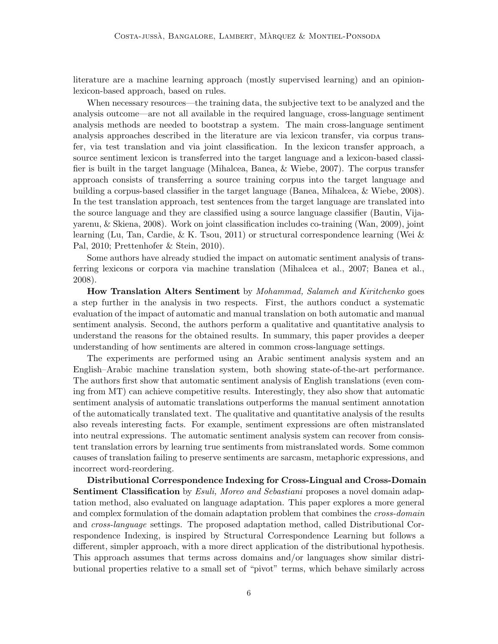literature are a machine learning approach (mostly supervised learning) and an opinionlexicon-based approach, based on rules.

When necessary resources—the training data, the subjective text to be analyzed and the analysis outcome—are not all available in the required language, cross-language sentiment analysis methods are needed to bootstrap a system. The main cross-language sentiment analysis approaches described in the literature are via lexicon transfer, via corpus transfer, via test translation and via joint classification. In the lexicon transfer approach, a source sentiment lexicon is transferred into the target language and a lexicon-based classifier is built in the target language (Mihalcea, Banea, & Wiebe, 2007). The corpus transfer approach consists of transferring a source training corpus into the target language and building a corpus-based classifier in the target language (Banea, Mihalcea, & Wiebe, 2008). In the test translation approach, test sentences from the target language are translated into the source language and they are classified using a source language classifier (Bautin, Vijayarenu, & Skiena, 2008). Work on joint classification includes co-training (Wan, 2009), joint learning (Lu, Tan, Cardie, & K. Tsou, 2011) or structural correspondence learning (Wei & Pal, 2010; Prettenhofer & Stein, 2010).

Some authors have already studied the impact on automatic sentiment analysis of transferring lexicons or corpora via machine translation (Mihalcea et al., 2007; Banea et al., 2008).

How Translation Alters Sentiment by Mohammad, Salameh and Kiritchenko goes a step further in the analysis in two respects. First, the authors conduct a systematic evaluation of the impact of automatic and manual translation on both automatic and manual sentiment analysis. Second, the authors perform a qualitative and quantitative analysis to understand the reasons for the obtained results. In summary, this paper provides a deeper understanding of how sentiments are altered in common cross-language settings.

The experiments are performed using an Arabic sentiment analysis system and an English–Arabic machine translation system, both showing state-of-the-art performance. The authors first show that automatic sentiment analysis of English translations (even coming from MT) can achieve competitive results. Interestingly, they also show that automatic sentiment analysis of automatic translations outperforms the manual sentiment annotation of the automatically translated text. The qualitative and quantitative analysis of the results also reveals interesting facts. For example, sentiment expressions are often mistranslated into neutral expressions. The automatic sentiment analysis system can recover from consistent translation errors by learning true sentiments from mistranslated words. Some common causes of translation failing to preserve sentiments are sarcasm, metaphoric expressions, and incorrect word-reordering.

Distributional Correspondence Indexing for Cross-Lingual and Cross-Domain Sentiment Classification by *Esuli, Moreo and Sebastiani* proposes a novel domain adaptation method, also evaluated on language adaptation. This paper explores a more general and complex formulation of the domain adaptation problem that combines the *cross-domain* and cross-language settings. The proposed adaptation method, called Distributional Correspondence Indexing, is inspired by Structural Correspondence Learning but follows a different, simpler approach, with a more direct application of the distributional hypothesis. This approach assumes that terms across domains and/or languages show similar distributional properties relative to a small set of "pivot" terms, which behave similarly across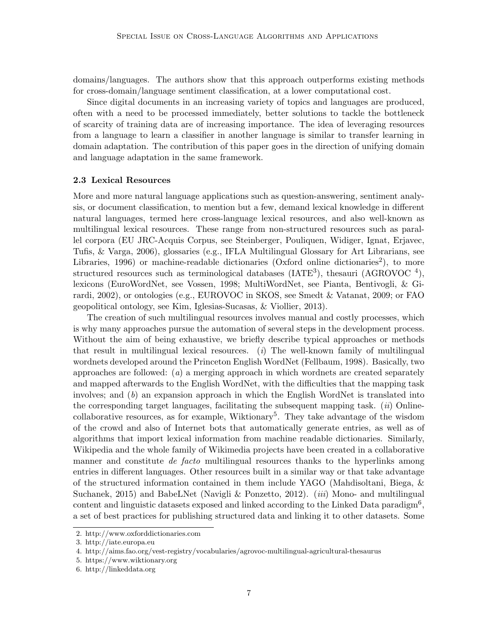domains/languages. The authors show that this approach outperforms existing methods for cross-domain/language sentiment classification, at a lower computational cost.

Since digital documents in an increasing variety of topics and languages are produced, often with a need to be processed immediately, better solutions to tackle the bottleneck of scarcity of training data are of increasing importance. The idea of leveraging resources from a language to learn a classifier in another language is similar to transfer learning in domain adaptation. The contribution of this paper goes in the direction of unifying domain and language adaptation in the same framework.

### 2.3 Lexical Resources

More and more natural language applications such as question-answering, sentiment analysis, or document classification, to mention but a few, demand lexical knowledge in different natural languages, termed here cross-language lexical resources, and also well-known as multilingual lexical resources. These range from non-structured resources such as parallel corpora (EU JRC-Acquis Corpus, see Steinberger, Pouliquen, Widiger, Ignat, Erjavec, Tufis, & Varga, 2006), glossaries (e.g., IFLA Multilingual Glossary for Art Librarians, see Libraries, 1996) or machine-readable dictionaries (Oxford online dictionaries<sup>2</sup>), to more structured resources such as terminological databases (IATE<sup>3</sup>), thesauri (AGROVOC<sup>4</sup>), lexicons (EuroWordNet, see Vossen, 1998; MultiWordNet, see Pianta, Bentivogli, & Girardi, 2002), or ontologies (e.g., EUROVOC in SKOS, see Smedt & Vatanat, 2009; or FAO geopolitical ontology, see Kim, Iglesias-Sucasas, & Viollier, 2013).

The creation of such multilingual resources involves manual and costly processes, which is why many approaches pursue the automation of several steps in the development process. Without the aim of being exhaustive, we briefly describe typical approaches or methods that result in multilingual lexical resources. (*i*) The well-known family of multilingual wordnets developed around the Princeton English WordNet (Fellbaum, 1998). Basically, two approaches are followed:  $(a)$  a merging approach in which wordnets are created separately and mapped afterwards to the English WordNet, with the difficulties that the mapping task involves; and  $(b)$  an expansion approach in which the English WordNet is translated into the corresponding target languages, facilitating the subsequent mapping task.  $(ii)$  Onlinecollaborative resources, as for example, Wiktionary<sup>5</sup>. They take advantage of the wisdom of the crowd and also of Internet bots that automatically generate entries, as well as of algorithms that import lexical information from machine readable dictionaries. Similarly, Wikipedia and the whole family of Wikimedia projects have been created in a collaborative manner and constitute *de facto* multilingual resources thanks to the hyperlinks among entries in different languages. Other resources built in a similar way or that take advantage of the structured information contained in them include YAGO (Mahdisoltani, Biega, & Suchanek, 2015) and BabeLNet (Navigli & Ponzetto, 2012). *(iii)* Mono- and multilingual content and linguistic datasets exposed and linked according to the Linked Data paradigm<sup>6</sup>, a set of best practices for publishing structured data and linking it to other datasets. Some

<sup>2.</sup> http://www.oxforddictionaries.com

<sup>3.</sup> http://iate.europa.eu

<sup>4.</sup> http://aims.fao.org/vest-registry/vocabularies/agrovoc-multilingual-agricultural-thesaurus

<sup>5.</sup> https://www.wiktionary.org

<sup>6.</sup> http://linkeddata.org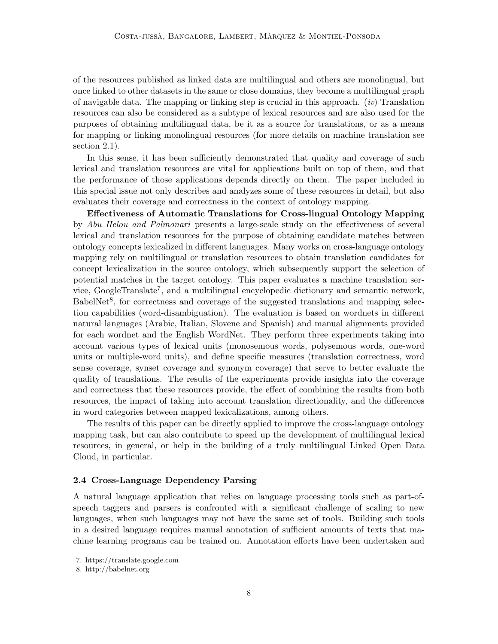of the resources published as linked data are multilingual and others are monolingual, but once linked to other datasets in the same or close domains, they become a multilingual graph of navigable data. The mapping or linking step is crucial in this approach.  $(iv)$  Translation resources can also be considered as a subtype of lexical resources and are also used for the purposes of obtaining multilingual data, be it as a source for translations, or as a means for mapping or linking monolingual resources (for more details on machine translation see section 2.1).

In this sense, it has been sufficiently demonstrated that quality and coverage of such lexical and translation resources are vital for applications built on top of them, and that the performance of those applications depends directly on them. The paper included in this special issue not only describes and analyzes some of these resources in detail, but also evaluates their coverage and correctness in the context of ontology mapping.

Effectiveness of Automatic Translations for Cross-lingual Ontology Mapping by Abu Helou and Palmonari presents a large-scale study on the effectiveness of several lexical and translation resources for the purpose of obtaining candidate matches between ontology concepts lexicalized in different languages. Many works on cross-language ontology mapping rely on multilingual or translation resources to obtain translation candidates for concept lexicalization in the source ontology, which subsequently support the selection of potential matches in the target ontology. This paper evaluates a machine translation service, GoogleTranslate<sup>7</sup>, and a multilingual encyclopedic dictionary and semantic network, BabelNet<sup>8</sup>, for correctness and coverage of the suggested translations and mapping selection capabilities (word-disambiguation). The evaluation is based on wordnets in different natural languages (Arabic, Italian, Slovene and Spanish) and manual alignments provided for each wordnet and the English WordNet. They perform three experiments taking into account various types of lexical units (monosemous words, polysemous words, one-word units or multiple-word units), and define specific measures (translation correctness, word sense coverage, synset coverage and synonym coverage) that serve to better evaluate the quality of translations. The results of the experiments provide insights into the coverage and correctness that these resources provide, the effect of combining the results from both resources, the impact of taking into account translation directionality, and the differences in word categories between mapped lexicalizations, among others.

The results of this paper can be directly applied to improve the cross-language ontology mapping task, but can also contribute to speed up the development of multilingual lexical resources, in general, or help in the building of a truly multilingual Linked Open Data Cloud, in particular.

#### 2.4 Cross-Language Dependency Parsing

A natural language application that relies on language processing tools such as part-ofspeech taggers and parsers is confronted with a significant challenge of scaling to new languages, when such languages may not have the same set of tools. Building such tools in a desired language requires manual annotation of sufficient amounts of texts that machine learning programs can be trained on. Annotation efforts have been undertaken and

<sup>7.</sup> https://translate.google.com

<sup>8.</sup> http://babelnet.org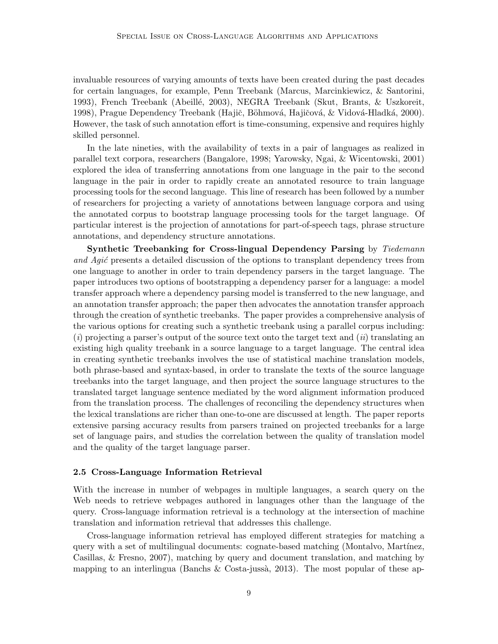invaluable resources of varying amounts of texts have been created during the past decades for certain languages, for example, Penn Treebank (Marcus, Marcinkiewicz, & Santorini, 1993), French Treebank (Abeill´e, 2003), NEGRA Treebank (Skut, Brants, & Uszkoreit, 1998), Prague Dependency Treebank (Hajič, Böhmová, Hajičová, & Vidová-Hladká, 2000). However, the task of such annotation effort is time-consuming, expensive and requires highly skilled personnel.

In the late nineties, with the availability of texts in a pair of languages as realized in parallel text corpora, researchers (Bangalore, 1998; Yarowsky, Ngai, & Wicentowski, 2001) explored the idea of transferring annotations from one language in the pair to the second language in the pair in order to rapidly create an annotated resource to train language processing tools for the second language. This line of research has been followed by a number of researchers for projecting a variety of annotations between language corpora and using the annotated corpus to bootstrap language processing tools for the target language. Of particular interest is the projection of annotations for part-of-speech tags, phrase structure annotations, and dependency structure annotations.

Synthetic Treebanking for Cross-lingual Dependency Parsing by Tiedemann and Agic presents a detailed discussion of the options to transplant dependency trees from one language to another in order to train dependency parsers in the target language. The paper introduces two options of bootstrapping a dependency parser for a language: a model transfer approach where a dependency parsing model is transferred to the new language, and an annotation transfer approach; the paper then advocates the annotation transfer approach through the creation of synthetic treebanks. The paper provides a comprehensive analysis of the various options for creating such a synthetic treebank using a parallel corpus including:  $(i)$  projecting a parser's output of the source text onto the target text and  $(ii)$  translating an existing high quality treebank in a source language to a target language. The central idea in creating synthetic treebanks involves the use of statistical machine translation models, both phrase-based and syntax-based, in order to translate the texts of the source language treebanks into the target language, and then project the source language structures to the translated target language sentence mediated by the word alignment information produced from the translation process. The challenges of reconciling the dependency structures when the lexical translations are richer than one-to-one are discussed at length. The paper reports extensive parsing accuracy results from parsers trained on projected treebanks for a large set of language pairs, and studies the correlation between the quality of translation model and the quality of the target language parser.

#### 2.5 Cross-Language Information Retrieval

With the increase in number of webpages in multiple languages, a search query on the Web needs to retrieve webpages authored in languages other than the language of the query. Cross-language information retrieval is a technology at the intersection of machine translation and information retrieval that addresses this challenge.

Cross-language information retrieval has employed different strategies for matching a query with a set of multilingual documents: cognate-based matching (Montalvo, Martínez, Casillas, & Fresno, 2007), matching by query and document translation, and matching by mapping to an interlingua (Banchs & Costa-jussà, 2013). The most popular of these ap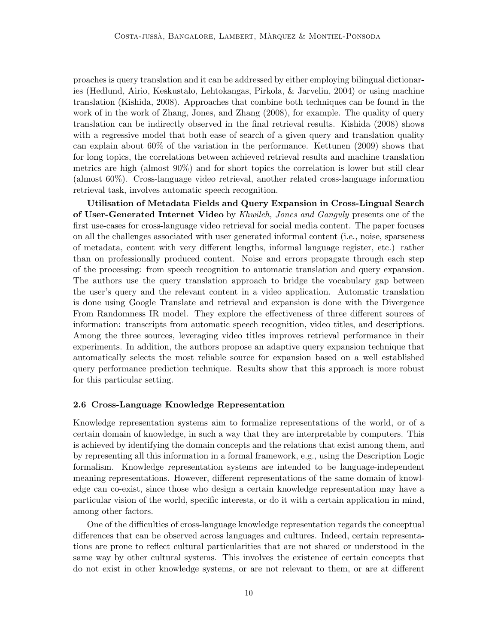proaches is query translation and it can be addressed by either employing bilingual dictionaries (Hedlund, Airio, Keskustalo, Lehtokangas, Pirkola, & Jarvelin, 2004) or using machine translation (Kishida, 2008). Approaches that combine both techniques can be found in the work of in the work of Zhang, Jones, and Zhang (2008), for example. The quality of query translation can be indirectly observed in the final retrieval results. Kishida (2008) shows with a regressive model that both ease of search of a given query and translation quality can explain about 60% of the variation in the performance. Kettunen (2009) shows that for long topics, the correlations between achieved retrieval results and machine translation metrics are high (almost 90%) and for short topics the correlation is lower but still clear (almost 60%). Cross-language video retrieval, another related cross-language information retrieval task, involves automatic speech recognition.

Utilisation of Metadata Fields and Query Expansion in Cross-Lingual Search of User-Generated Internet Video by Khwileh, Jones and Ganguly presents one of the first use-cases for cross-language video retrieval for social media content. The paper focuses on all the challenges associated with user generated informal content (i.e., noise, sparseness of metadata, content with very different lengths, informal language register, etc.) rather than on professionally produced content. Noise and errors propagate through each step of the processing: from speech recognition to automatic translation and query expansion. The authors use the query translation approach to bridge the vocabulary gap between the user's query and the relevant content in a video application. Automatic translation is done using Google Translate and retrieval and expansion is done with the Divergence From Randomness IR model. They explore the effectiveness of three different sources of information: transcripts from automatic speech recognition, video titles, and descriptions. Among the three sources, leveraging video titles improves retrieval performance in their experiments. In addition, the authors propose an adaptive query expansion technique that automatically selects the most reliable source for expansion based on a well established query performance prediction technique. Results show that this approach is more robust for this particular setting.

### 2.6 Cross-Language Knowledge Representation

Knowledge representation systems aim to formalize representations of the world, or of a certain domain of knowledge, in such a way that they are interpretable by computers. This is achieved by identifying the domain concepts and the relations that exist among them, and by representing all this information in a formal framework, e.g., using the Description Logic formalism. Knowledge representation systems are intended to be language-independent meaning representations. However, different representations of the same domain of knowledge can co-exist, since those who design a certain knowledge representation may have a particular vision of the world, specific interests, or do it with a certain application in mind, among other factors.

One of the difficulties of cross-language knowledge representation regards the conceptual differences that can be observed across languages and cultures. Indeed, certain representations are prone to reflect cultural particularities that are not shared or understood in the same way by other cultural systems. This involves the existence of certain concepts that do not exist in other knowledge systems, or are not relevant to them, or are at different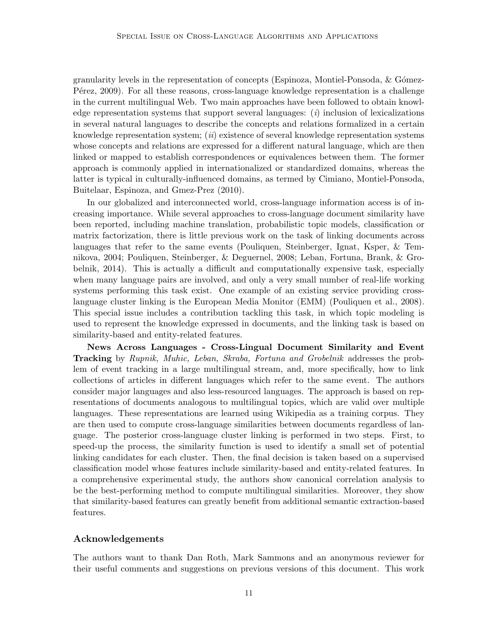granularity levels in the representation of concepts (Espinoza, Montiel-Ponsoda,  $\&$  Gómez-P<sub>etez</sub>, 2009). For all these reasons, cross-language knowledge representation is a challenge in the current multilingual Web. Two main approaches have been followed to obtain knowledge representation systems that support several languages:  $(i)$  inclusion of lexicalizations in several natural languages to describe the concepts and relations formalized in a certain knowledge representation system;  $(ii)$  existence of several knowledge representation systems whose concepts and relations are expressed for a different natural language, which are then linked or mapped to establish correspondences or equivalences between them. The former approach is commonly applied in internationalized or standardized domains, whereas the latter is typical in culturally-influenced domains, as termed by Cimiano, Montiel-Ponsoda, Buitelaar, Espinoza, and Gmez-Prez (2010).

In our globalized and interconnected world, cross-language information access is of increasing importance. While several approaches to cross-language document similarity have been reported, including machine translation, probabilistic topic models, classification or matrix factorization, there is little previous work on the task of linking documents across languages that refer to the same events (Pouliquen, Steinberger, Ignat, Ksper, & Temnikova, 2004; Pouliquen, Steinberger, & Deguernel, 2008; Leban, Fortuna, Brank, & Grobelnik, 2014). This is actually a difficult and computationally expensive task, especially when many language pairs are involved, and only a very small number of real-life working systems performing this task exist. One example of an existing service providing crosslanguage cluster linking is the European Media Monitor (EMM) (Pouliquen et al., 2008). This special issue includes a contribution tackling this task, in which topic modeling is used to represent the knowledge expressed in documents, and the linking task is based on similarity-based and entity-related features.

News Across Languages - Cross-Lingual Document Similarity and Event Tracking by Rupnik, Muhic, Leban, Skraba, Fortuna and Grobelnik addresses the problem of event tracking in a large multilingual stream, and, more specifically, how to link collections of articles in different languages which refer to the same event. The authors consider major languages and also less-resourced languages. The approach is based on representations of documents analogous to multilingual topics, which are valid over multiple languages. These representations are learned using Wikipedia as a training corpus. They are then used to compute cross-language similarities between documents regardless of language. The posterior cross-language cluster linking is performed in two steps. First, to speed-up the process, the similarity function is used to identify a small set of potential linking candidates for each cluster. Then, the final decision is taken based on a supervised classification model whose features include similarity-based and entity-related features. In a comprehensive experimental study, the authors show canonical correlation analysis to be the best-performing method to compute multilingual similarities. Moreover, they show that similarity-based features can greatly benefit from additional semantic extraction-based features.

# Acknowledgements

The authors want to thank Dan Roth, Mark Sammons and an anonymous reviewer for their useful comments and suggestions on previous versions of this document. This work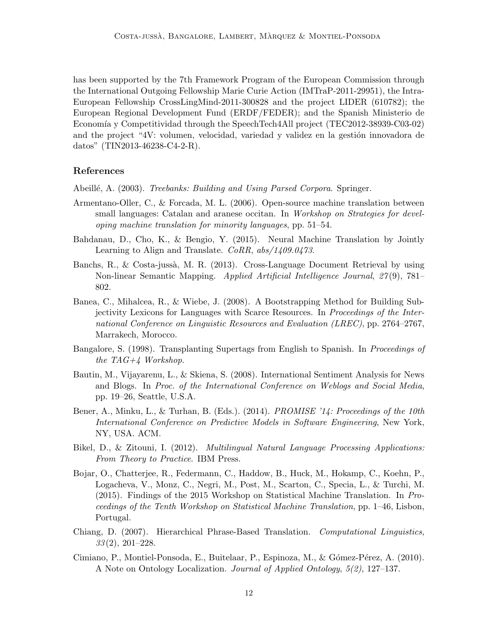has been supported by the 7th Framework Program of the European Commission through the International Outgoing Fellowship Marie Curie Action (IMTraP-2011-29951), the Intra-European Fellowship CrossLingMind-2011-300828 and the project LIDER (610782); the European Regional Development Fund (ERDF/FEDER); and the Spanish Ministerio de Economía y Competitividad through the SpeechTech4All project (TEC2012-38939-C03-02) and the project "4V: volumen, velocidad, variedad y validez en la gestión innovadora de datos" (TIN2013-46238-C4-2-R).

# References

Abeillé, A. (2003). *Treebanks: Building and Using Parsed Corpora*. Springer.

- Armentano-Oller, C., & Forcada, M. L. (2006). Open-source machine translation between small languages: Catalan and aranese occitan. In Workshop on Strategies for developing machine translation for minority languages, pp. 51–54.
- Bahdanau, D., Cho, K., & Bengio, Y. (2015). Neural Machine Translation by Jointly Learning to Align and Translate. CoRR, abs/1409.0473.
- Banchs, R., & Costa-jussà, M. R. (2013). Cross-Language Document Retrieval by using Non-linear Semantic Mapping. Applied Artificial Intelligence Journal, 27 (9), 781– 802.
- Banea, C., Mihalcea, R., & Wiebe, J. (2008). A Bootstrapping Method for Building Subjectivity Lexicons for Languages with Scarce Resources. In Proceedings of the International Conference on Linguistic Resources and Evaluation (LREC), pp. 2764–2767, Marrakech, Morocco.
- Bangalore, S. (1998). Transplanting Supertags from English to Spanish. In *Proceedings of* the TAG+4 Workshop.
- Bautin, M., Vijayarenu, L., & Skiena, S. (2008). International Sentiment Analysis for News and Blogs. In Proc. of the International Conference on Weblogs and Social Media, pp. 19–26, Seattle, U.S.A.
- Bener, A., Minku, L., & Turhan, B. (Eds.). (2014). *PROMISE '14: Proceedings of the 10th* International Conference on Predictive Models in Software Engineering, New York, NY, USA. ACM.
- Bikel, D., & Zitouni, I. (2012). Multilingual Natural Language Processing Applications: From Theory to Practice. IBM Press.
- Bojar, O., Chatterjee, R., Federmann, C., Haddow, B., Huck, M., Hokamp, C., Koehn, P., Logacheva, V., Monz, C., Negri, M., Post, M., Scarton, C., Specia, L., & Turchi, M. (2015). Findings of the 2015 Workshop on Statistical Machine Translation. In Proceedings of the Tenth Workshop on Statistical Machine Translation, pp. 1–46, Lisbon, Portugal.
- Chiang, D. (2007). Hierarchical Phrase-Based Translation. Computational Linguistics,  $33(2), 201-228.$
- Cimiano, P., Montiel-Ponsoda, E., Buitelaar, P., Espinoza, M., & Gómez-Pérez, A. (2010). A Note on Ontology Localization. Journal of Applied Ontology, 5(2), 127–137.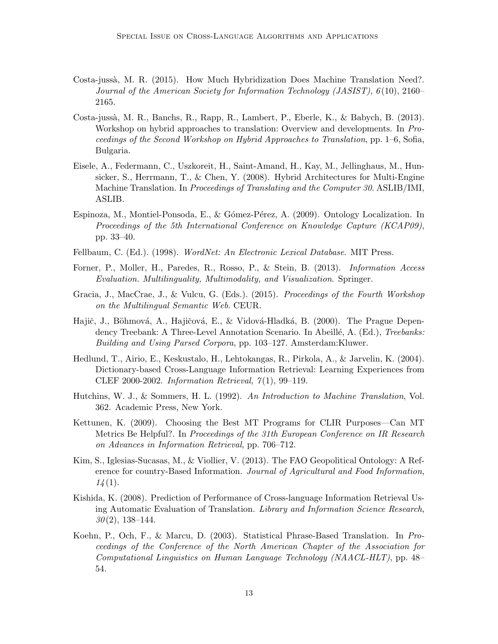- Costa-juss`a, M. R. (2015). How Much Hybridization Does Machine Translation Need?. Journal of the American Society for Information Technology (JASIST), 6 (10), 2160– 2165.
- Costa-juss`a, M. R., Banchs, R., Rapp, R., Lambert, P., Eberle, K., & Babych, B. (2013). Workshop on hybrid approaches to translation: Overview and developments. In Proceedings of the Second Workshop on Hybrid Approaches to Translation, pp. 1–6, Sofia, Bulgaria.
- Eisele, A., Federmann, C., Uszkoreit, H., Saint-Amand, H., Kay, M., Jellinghaus, M., Hunsicker, S., Herrmann, T., & Chen, Y. (2008). Hybrid Architectures for Multi-Engine Machine Translation. In Proceedings of Translating and the Computer 30. ASLIB/IMI, ASLIB.
- Espinoza, M., Montiel-Ponsoda, E., & Gómez-Pérez, A. (2009). Ontology Localization. In Proceedings of the 5th International Conference on Knowledge Capture (KCAP09), pp. 33–40.
- Fellbaum, C. (Ed.). (1998). WordNet: An Electronic Lexical Database. MIT Press.
- Forner, P., Moller, H., Paredes, R., Rosso, P., & Stein, B. (2013). Information Access Evaluation. Multilinguality, Multimodality, and Visualization. Springer.
- Gracia, J., MacCrae, J., & Vulcu, G. (Eds.). (2015). Proceedings of the Fourth Workshop on the Multilingual Semantic Web. CEUR.
- Hajič, J., Böhmová, A., Hajičová, E., & Vidová-Hladká, B. (2000). The Prague Dependency Treebank: A Three-Level Annotation Scenario. In Abeillé, A. (Ed.), Treebanks: Building and Using Parsed Corpora, pp. 103–127. Amsterdam:Kluwer.
- Hedlund, T., Airio, E., Keskustalo, H., Lehtokangas, R., Pirkola, A., & Jarvelin, K. (2004). Dictionary-based Cross-Language Information Retrieval: Learning Experiences from CLEF 2000-2002. Information Retrieval,  $\gamma(1)$ , 99-119.
- Hutchins, W. J., & Sommers, H. L. (1992). An Introduction to Machine Translation, Vol. 362. Academic Press, New York.
- Kettunen, K. (2009). Choosing the Best MT Programs for CLIR Purposes—Can MT Metrics Be Helpful?. In Proceedings of the 31th European Conference on IR Research on Advances in Information Retrieval, pp. 706–712.
- Kim, S., Iglesias-Sucasas, M., & Viollier, V. (2013). The FAO Geopolitical Ontology: A Reference for country-Based Information. Journal of Agricultural and Food Information,  $14(1).$
- Kishida, K. (2008). Prediction of Performance of Cross-language Information Retrieval Using Automatic Evaluation of Translation. Library and Information Science Research,  $30(2)$ , 138–144.
- Koehn, P., Och, F., & Marcu, D. (2003). Statistical Phrase-Based Translation. In Proceedings of the Conference of the North American Chapter of the Association for Computational Linguistics on Human Language Technology (NAACL-HLT), pp. 48– 54.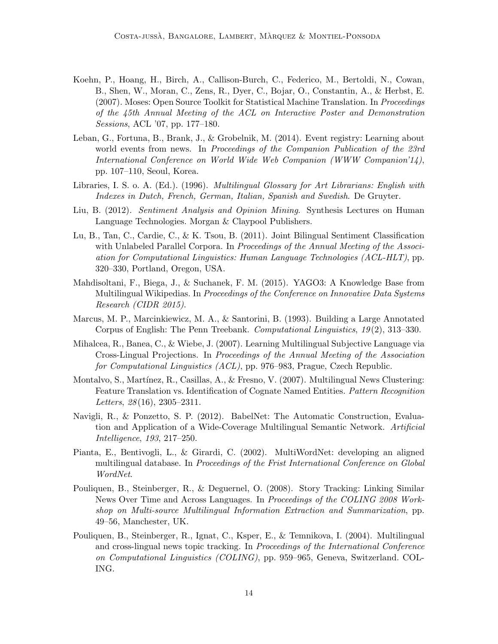- Koehn, P., Hoang, H., Birch, A., Callison-Burch, C., Federico, M., Bertoldi, N., Cowan, B., Shen, W., Moran, C., Zens, R., Dyer, C., Bojar, O., Constantin, A., & Herbst, E. (2007). Moses: Open Source Toolkit for Statistical Machine Translation. In Proceedings of the 45th Annual Meeting of the ACL on Interactive Poster and Demonstration Sessions, ACL '07, pp. 177–180.
- Leban, G., Fortuna, B., Brank, J., & Grobelnik, M. (2014). Event registry: Learning about world events from news. In Proceedings of the Companion Publication of the 23rd International Conference on World Wide Web Companion (WWW Companion'14), pp. 107–110, Seoul, Korea.
- Libraries, I. S. o. A. (Ed.). (1996). Multilingual Glossary for Art Librarians: English with Indexes in Dutch, French, German, Italian, Spanish and Swedish. De Gruyter.
- Liu, B. (2012). Sentiment Analysis and Opinion Mining. Synthesis Lectures on Human Language Technologies. Morgan & Claypool Publishers.
- Lu, B., Tan, C., Cardie, C., & K. Tsou, B. (2011). Joint Bilingual Sentiment Classification with Unlabeled Parallel Corpora. In Proceedings of the Annual Meeting of the Association for Computational Linguistics: Human Language Technologies (ACL-HLT), pp. 320–330, Portland, Oregon, USA.
- Mahdisoltani, F., Biega, J., & Suchanek, F. M. (2015). YAGO3: A Knowledge Base from Multilingual Wikipedias. In Proceedings of the Conference on Innovative Data Systems Research (CIDR 2015).
- Marcus, M. P., Marcinkiewicz, M. A., & Santorini, B. (1993). Building a Large Annotated Corpus of English: The Penn Treebank. Computational Linguistics, 19 (2), 313–330.
- Mihalcea, R., Banea, C., & Wiebe, J. (2007). Learning Multilingual Subjective Language via Cross-Lingual Projections. In Proceedings of the Annual Meeting of the Association for Computational Linguistics (ACL), pp. 976–983, Prague, Czech Republic.
- Montalvo, S., Martínez, R., Casillas, A., & Fresno, V. (2007). Multilingual News Clustering: Feature Translation vs. Identification of Cognate Named Entities. Pattern Recognition Letters,  $28(16)$ ,  $2305-2311$ .
- Navigli, R., & Ponzetto, S. P. (2012). BabelNet: The Automatic Construction, Evaluation and Application of a Wide-Coverage Multilingual Semantic Network. Artificial Intelligence, 193, 217–250.
- Pianta, E., Bentivogli, L., & Girardi, C. (2002). MultiWordNet: developing an aligned multilingual database. In Proceedings of the Frist International Conference on Global WordNet.
- Pouliquen, B., Steinberger, R., & Deguernel, O. (2008). Story Tracking: Linking Similar News Over Time and Across Languages. In Proceedings of the COLING 2008 Workshop on Multi-source Multilingual Information Extraction and Summarization, pp. 49–56, Manchester, UK.
- Pouliquen, B., Steinberger, R., Ignat, C., Ksper, E., & Temnikova, I. (2004). Multilingual and cross-lingual news topic tracking. In Proceedings of the International Conference on Computational Linguistics (COLING), pp. 959–965, Geneva, Switzerland. COL-ING.